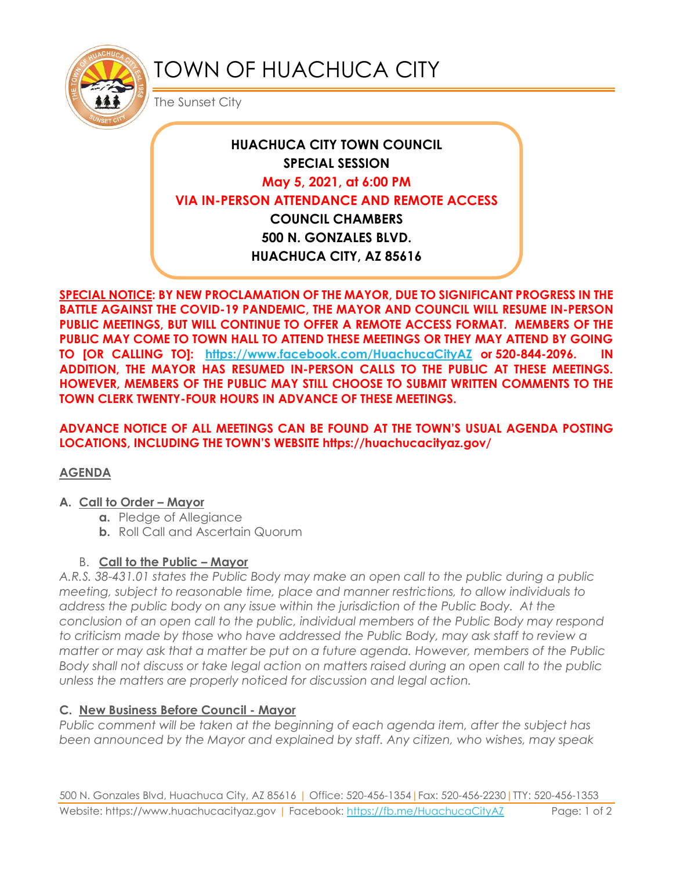

# TOWN OF HUACHUCA CITY

The Sunset City

# **HUACHUCA CITY TOWN COUNCIL SPECIAL SESSION May 5, 2021, at 6:00 PM VIA IN-PERSON ATTENDANCE AND REMOTE ACCESS COUNCIL CHAMBERS 500 N. GONZALES BLVD. HUACHUCA CITY, AZ 85616**

**SPECIAL NOTICE: BY NEW PROCLAMATION OF THE MAYOR, DUE TO SIGNIFICANT PROGRESS IN THE BATTLE AGAINST THE COVID-19 PANDEMIC, THE MAYOR AND COUNCIL WILL RESUME IN-PERSON PUBLIC MEETINGS, BUT WILL CONTINUE TO OFFER A REMOTE ACCESS FORMAT. MEMBERS OF THE PUBLIC MAY COME TO TOWN HALL TO ATTEND THESE MEETINGS OR THEY MAY ATTEND BY GOING TO [OR CALLING TO]: <https://www.facebook.com/HuachucaCityAZ> or 520-844-2096. IN ADDITION, THE MAYOR HAS RESUMED IN-PERSON CALLS TO THE PUBLIC AT THESE MEETINGS. HOWEVER, MEMBERS OF THE PUBLIC MAY STILL CHOOSE TO SUBMIT WRITTEN COMMENTS TO THE TOWN CLERK TWENTY-FOUR HOURS IN ADVANCE OF THESE MEETINGS.** 

**ADVANCE NOTICE OF ALL MEETINGS CAN BE FOUND AT THE TOWN'S USUAL AGENDA POSTING LOCATIONS, INCLUDING THE TOWN'S WEBSITE https://huachucacityaz.gov/**

# **AGENDA**

#### **A. Call to Order – Mayor**

- **a.** Pledge of Allegiance
- **b.** Roll Call and Ascertain Quorum

# B. **Call to the Public – Mayor**

*A.R.S. 38-431.01 states the Public Body may make an open call to the public during a public meeting, subject to reasonable time, place and manner restrictions, to allow individuals to address the public body on any issue within the jurisdiction of the Public Body. At the conclusion of an open call to the public, individual members of the Public Body may respond to criticism made by those who have addressed the Public Body, may ask staff to review a matter or may ask that a matter be put on a future agenda. However, members of the Public Body shall not discuss or take legal action on matters raised during an open call to the public unless the matters are properly noticed for discussion and legal action.*

# **C. New Business Before Council - Mayor**

*Public comment will be taken at the beginning of each agenda item, after the subject has been announced by the Mayor and explained by staff. Any citizen, who wishes, may speak*